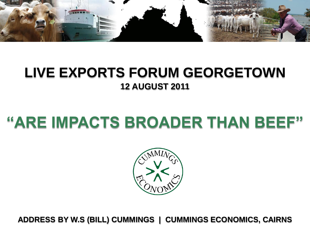

### **LIVE EXPORTS FORUM GEORGETOWN 12 AUGUST 2011**

# **"ARE IMPACTS BROADER THAN BEEF"**



**ADDRESS BY W.S (BILL) CUMMINGS | CUMMINGS ECONOMICS, CAIRNS**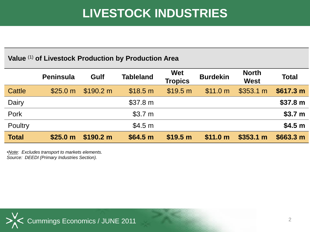### **LIVESTOCK INDUSTRIES**

#### **Value** (1) **of Livestock Production by Production Area**

|              | <b>Peninsula</b> | <b>Gulf</b> | <b>Tableland</b>   | <b>Wet</b><br><b>Tropics</b> | <b>Burdekin</b> | <b>North</b><br><b>West</b> | <b>Total</b>       |
|--------------|------------------|-------------|--------------------|------------------------------|-----------------|-----------------------------|--------------------|
| Cattle       | \$25.0 m         | \$190.2 m   | \$18.5 m           | \$19.5 m                     | \$11.0 m        | \$353.1 m                   | \$617.3 m          |
| Dairy        |                  |             | \$37.8 m           |                              |                 |                             | \$37.8 m           |
| Pork         |                  |             | \$3.7 <sub>m</sub> |                              |                 |                             | \$3.7 <sub>m</sub> |
| Poultry      |                  |             | \$4.5 m            |                              |                 |                             | \$4.5 m            |
| <b>Total</b> | \$25.0 m         | \$190.2 m   | \$64.5 m           | \$19.5 m                     | \$11.0 m        | \$353.1 m                   | \$663.3 m          |

•*Note: Excludes transport to markets elements. Source: DEEDI (Primary Industries Section).*

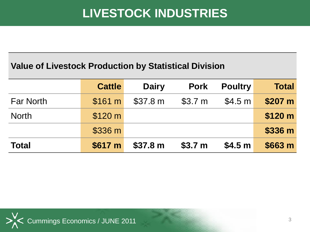### **LIVESTOCK INDUSTRIES**

#### **Value of Livestock Production by Statistical Division**

|                  | <b>Cattle</b> | <b>Dairy</b> | <b>Pork</b>        | <b>Poultry</b>     | <b>Total</b> |
|------------------|---------------|--------------|--------------------|--------------------|--------------|
| <b>Far North</b> | \$161 m       | \$37.8 m     | \$3.7 <sub>m</sub> | \$4.5 m            | \$207 m      |
| <b>North</b>     | \$120 m       |              |                    |                    | \$120 m      |
|                  | \$336 m       |              |                    |                    | \$336 m      |
| <b>Total</b>     | \$617 m       | \$37.8 m     | \$3.7 <sub>m</sub> | \$4.5 <sub>m</sub> | \$663 m      |

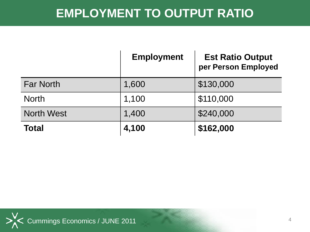## **EMPLOYMENT TO OUTPUT RATIO**

|                   | <b>Employment</b> | <b>Est Ratio Output</b><br>per Person Employed |
|-------------------|-------------------|------------------------------------------------|
| <b>Far North</b>  | 1,600             | \$130,000                                      |
| <b>North</b>      | 1,100             | \$110,000                                      |
| <b>North West</b> | 1,400             | \$240,000                                      |
| <b>Total</b>      | 4,100             | \$162,000                                      |

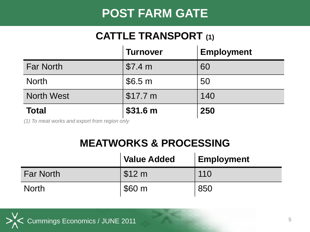## **POST FARM GATE**

### **CATTLE TRANSPORT (1)**

|                   | <b>Turnover</b> | <b>Employment</b> |
|-------------------|-----------------|-------------------|
| <b>Far North</b>  | \$7.4 m         | 60                |
| <b>North</b>      | \$6.5 m         | 50                |
| <b>North West</b> | \$17.7 m        | 140               |
| <b>Total</b>      | \$31.6 m        | 250               |

*(1) To meat works and export from region only*

### **MEATWORKS & PROCESSING**

|                  | <b>Value Added</b> | <b>Employment</b> |  |
|------------------|--------------------|-------------------|--|
| <b>Far North</b> | \$12 m             | 110               |  |
| <b>North</b>     | \$60 m             | 850               |  |

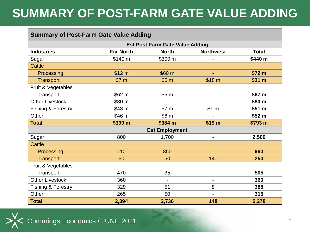## **SUMMARY OF POST-FARM GATE VALUE ADDING**

#### **Summary of Post-Farm Gate Value Adding**

|                               | <b>Est Post-Farm Gate Value Adding</b> |                          |                          |              |  |  |
|-------------------------------|----------------------------------------|--------------------------|--------------------------|--------------|--|--|
| <b>Industries</b>             | <b>Far North</b>                       | <b>North</b>             | <b>Northwest</b>         | <b>Total</b> |  |  |
| Sugar                         | \$140 m                                | \$300 m                  |                          | \$440 m      |  |  |
| <b>Cattle</b>                 |                                        |                          |                          |              |  |  |
| Processing                    | \$12 m                                 | \$60 m                   | ٠                        | \$72 m       |  |  |
| <b>Transport</b>              | \$7 m                                  | \$6 m                    | \$18 m                   | \$31 m       |  |  |
| Fruit & Vegetables            |                                        |                          |                          |              |  |  |
| Transport                     | \$62 m                                 | \$5 m                    | $\overline{\phantom{a}}$ | \$67 m       |  |  |
| <b>Other Livestock</b>        | \$80 m                                 | $\overline{\phantom{a}}$ | $\overline{\phantom{a}}$ | \$80 m       |  |  |
| Fishing & Forestry            | \$43 m                                 | \$7 m                    | \$1 m                    | \$51 m       |  |  |
| Other                         | \$46 m                                 | \$6 m                    |                          | \$52 m       |  |  |
| <b>Total</b>                  | \$390 m                                | \$384 m                  | \$19 <sub>m</sub>        | \$793 m      |  |  |
|                               |                                        | <b>Est Employment</b>    |                          |              |  |  |
| Sugar                         | 800                                    | 1,700                    | $\overline{\phantom{a}}$ | 2,500        |  |  |
| <b>Cattle</b>                 |                                        |                          |                          |              |  |  |
| Processing                    | 110                                    | 850                      |                          | 960          |  |  |
| <b>Transport</b>              | 60                                     | 50                       | 140                      | 250          |  |  |
| Fruit & Vegetables            |                                        |                          |                          |              |  |  |
| Transport                     | 470                                    | 35                       | $\overline{\phantom{a}}$ | 505          |  |  |
| <b>Other Livestock</b>        | 360                                    | $\overline{\phantom{a}}$ | $\overline{\phantom{a}}$ | 360          |  |  |
| <b>Fishing &amp; Forestry</b> | 329                                    | 51                       | 8                        | 388          |  |  |
| Other                         | 265                                    | 50                       |                          | 315          |  |  |
| <b>Total</b>                  | 2,394                                  | 2,736                    | 148                      | 5,278        |  |  |



External Cummings Economics / JUNE 2011 6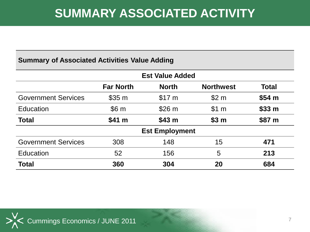### **SUMMARY ASSOCIATED ACTIVITY**

#### **Summary of Associated Activities Value Adding**

|                            |                  | <b>Est Value Added</b> |                  |              |
|----------------------------|------------------|------------------------|------------------|--------------|
|                            | <b>Far North</b> | <b>North</b>           | <b>Northwest</b> | <b>Total</b> |
| <b>Government Services</b> | \$35 m           | \$17 m                 | \$2 m            | \$54 m       |
| Education                  | \$6 m            | \$26 m                 | \$1 m            | \$33 m       |
| <b>Total</b>               | \$41 m           | \$43 m                 | \$3 m            | \$87 m       |
|                            |                  | <b>Est Employment</b>  |                  |              |
| <b>Government Services</b> | 308              | 148                    | 15               | 471          |
| Education                  | 52               | 156                    | 5                | 213          |
| <b>Total</b>               | 360              | 304                    | 20               | 684          |

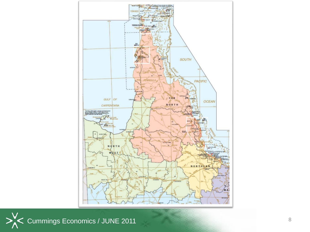

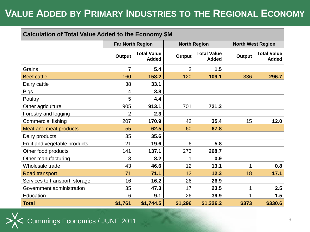### **VALUE ADDED BY PRIMARY INDUSTRIES TO THE REGIONAL ECONOMY**

| <b>Calculation of Total Value Added to the Economy \$M</b> |                         |                                    |                     |                                    |                          |                                    |  |
|------------------------------------------------------------|-------------------------|------------------------------------|---------------------|------------------------------------|--------------------------|------------------------------------|--|
|                                                            | <b>Far North Region</b> |                                    | <b>North Region</b> |                                    | <b>North West Region</b> |                                    |  |
|                                                            | <b>Output</b>           | <b>Total Value</b><br><b>Added</b> | <b>Output</b>       | <b>Total Value</b><br><b>Added</b> | <b>Output</b>            | <b>Total Value</b><br><b>Added</b> |  |
| Grains                                                     | $\overline{7}$          | 5.4                                | $\overline{2}$      | 1.5                                |                          |                                    |  |
| <b>Beef cattle</b>                                         | 160                     | 158.2                              | 120                 | 109.1                              | 336                      | 296.7                              |  |
| Dairy cattle                                               | 38                      | 33.1                               |                     |                                    |                          |                                    |  |
| Pigs                                                       | 4                       | 3.8                                |                     |                                    |                          |                                    |  |
| Poultry                                                    | 5                       | 4.4                                |                     |                                    |                          |                                    |  |
| Other agriculture                                          | 905                     | 913.1                              | 701                 | 721.3                              |                          |                                    |  |
| Forestry and logging                                       | $\overline{2}$          | 2.3                                |                     |                                    |                          |                                    |  |
| <b>Commercial fishing</b>                                  | 207                     | 170.9                              | 42                  | 35.4                               | 15                       | 12.0                               |  |
| Meat and meat products                                     | 55                      | 62.5                               | 60                  | 67.8                               |                          |                                    |  |
| Dairy products                                             | 35                      | 35.6                               |                     |                                    |                          |                                    |  |
| Fruit and vegetable products                               | 21                      | 19.6                               | 6                   | 5.8                                |                          |                                    |  |
| Other food products                                        | 141                     | 137.1                              | 273                 | 268.7                              |                          |                                    |  |
| Other manufacturing                                        | 8                       | 8.2                                | 4                   | 0.9                                |                          |                                    |  |
| Wholesale trade                                            | 43                      | 46.6                               | 12                  | 13.1                               | 1                        | 0.8                                |  |
| Road transport                                             | 71                      | 71.1                               | 12                  | 12.3                               | 18                       | 17.1                               |  |
| Services to transport, storage                             | 16                      | 16.2                               | 26                  | 26.9                               |                          |                                    |  |
| Government administration                                  | 35                      | 47.3                               | 17                  | 23.5                               | 1                        | 2.5                                |  |
| Education                                                  | 6                       | 9.1                                | 26                  | 39.9                               | 1                        | 1.5                                |  |
| <b>Total</b>                                               | \$1,761                 | \$1,744.5                          | \$1,296             | \$1,326.2                          | \$373                    | \$330.6                            |  |

External committee of the UNIX Cummings Economics / JUNE 2011 9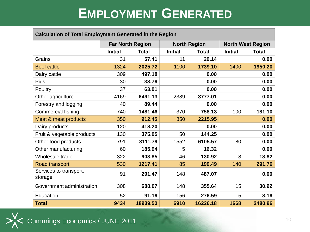## **EMPLOYMENT GENERATED**

#### **Calculation of Total Employment Generated in the Region**

|                                   | <b>Far North Region</b> |              | <b>North Region</b> |              | <b>North West Region</b> |              |
|-----------------------------------|-------------------------|--------------|---------------------|--------------|--------------------------|--------------|
|                                   | <b>Initial</b>          | <b>Total</b> | <b>Initial</b>      | <b>Total</b> | <b>Initial</b>           | <b>Total</b> |
| Grains                            | 31                      | 57.41        | 11                  | 20.14        |                          | 0.00         |
| <b>Beef cattle</b>                | 1324                    | 2025.72      | 1100                | 1739.10      | 1400                     | 1950.20      |
| Dairy cattle                      | 309                     | 497.18       |                     | 0.00         |                          | 0.00         |
| Pigs                              | 30                      | 38.76        |                     | 0.00         |                          | 0.00         |
| Poultry                           | 37                      | 63.01        |                     | 0.00         |                          | 0.00         |
| Other agriculture                 | 4169                    | 6491.13      | 2389                | 3777.01      |                          | 0.00         |
| Forestry and logging              | 40                      | 89.44        |                     | 0.00         |                          | 0.00         |
| Commercial fishing                | 740                     | 1481.46      | 370                 | 758.13       | 100                      | 181.10       |
| Meat & meat products              | 350                     | 912.45       | 850                 | 2215.95      |                          | 0.00         |
| Dairy products                    | 120                     | 418.20       |                     | 0.00         |                          | 0.00         |
| Fruit & vegetable products        | 130                     | 375.05       | 50                  | 144.25       |                          | 0.00         |
| Other food products               | 791                     | 3111.79      | 1552                | 6105.57      | 80                       | 0.00         |
| Other manufacturing               | 60                      | 185.94       | 5                   | 16.32        |                          | 0.00         |
| Wholesale trade                   | 322                     | 903.85       | 46                  | 130.92       | 8                        | 18.82        |
| Road transport                    | 530                     | 1217.41      | 85                  | 199.49       | 140                      | 291.76       |
| Services to transport,<br>storage | 91                      | 291.47       | 148                 | 487.07       |                          | 0.00         |
| Government administration         | 308                     | 688.07       | 148                 | 355.64       | 15                       | 30.92        |
| Education                         | 52                      | 91.16        | 156                 | 276.59       | 5                        | 8.16         |
| <b>Total</b>                      | 9434                    | 18939.50     | 6910                | 16226.18     | 1668                     | 2480.96      |



Cummings Economics / JUNE 2011 10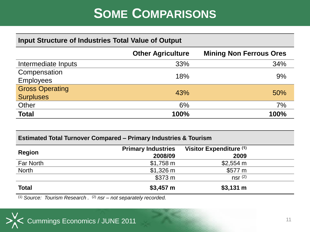## **SOME COMPARISONS**

#### **Input Structure of Industries Total Value of Output**

|                                            | <b>Other Agriculture</b> | <b>Mining Non Ferrous Ores</b> |
|--------------------------------------------|--------------------------|--------------------------------|
| Intermediate Inputs                        | 33%                      | 34%                            |
| Compensation<br><b>Employees</b>           | 18%                      | 9%                             |
| <b>Gross Operating</b><br><b>Surpluses</b> | 43%                      | 50%                            |
| Other                                      | 6%                       | 7%                             |
| <b>Total</b>                               | 100%                     | 100%                           |

#### **Estimated Total Turnover Compared – Primary Industries & Tourism**

|               | <b>Primary Industries</b> | Visitor Expenditure (1) |  |
|---------------|---------------------------|-------------------------|--|
| <b>Region</b> | 2008/09                   | 2009                    |  |
| Far North     | $$1,758 \text{ m}$        | $$2,554 \text{ m}$      |  |
| <b>North</b>  | $$1,326 \text{ m}$        | \$577 m                 |  |
|               | \$373 m                   | nsr $(2)$               |  |
| <b>Total</b>  | $$3,457$ m                | $$3,131 \text{ m}$      |  |

(1) *Source: Tourism Research .*  (2) *nsr – not separately recorded.*

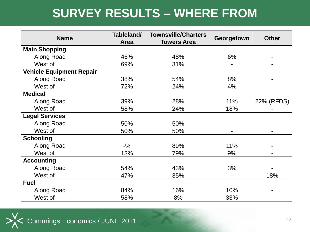## **SURVEY RESULTS – WHERE FROM**

| <b>Name</b>                     | Tableland/<br><b>Area</b> | <b>Townsville/Charters</b><br><b>Towers Area</b> | Georgetown | <b>Other</b> |
|---------------------------------|---------------------------|--------------------------------------------------|------------|--------------|
| <b>Main Shopping</b>            |                           |                                                  |            |              |
| Along Road                      | 46%                       | 48%                                              | 6%         |              |
| West of                         | 69%                       | 31%                                              |            |              |
| <b>Vehicle Equipment Repair</b> |                           |                                                  |            |              |
| Along Road                      | 38%                       | 54%                                              | 8%         |              |
| West of                         | 72%                       | 24%                                              | 4%         |              |
| <b>Medical</b>                  |                           |                                                  |            |              |
| Along Road                      | 39%                       | 28%                                              | 11%        | 22% (RFDS)   |
| West of                         | 58%                       | 24%                                              | 18%        |              |
| <b>Legal Services</b>           |                           |                                                  |            |              |
| Along Road                      | 50%                       | 50%                                              |            |              |
| West of                         | 50%                       | 50%                                              |            |              |
| <b>Schooling</b>                |                           |                                                  |            |              |
| Along Road                      | $-$ %                     | 89%                                              | 11%        |              |
| West of                         | 13%                       | 79%                                              | 9%         |              |
| <b>Accounting</b>               |                           |                                                  |            |              |
| Along Road                      | 54%                       | 43%                                              | 3%         |              |
| West of                         | 47%                       | 35%                                              |            | 18%          |
| <b>Fuel</b>                     |                           |                                                  |            |              |
| Along Road                      | 84%                       | 16%                                              | 10%        |              |
| West of                         | 58%                       | 8%                                               | 33%        |              |